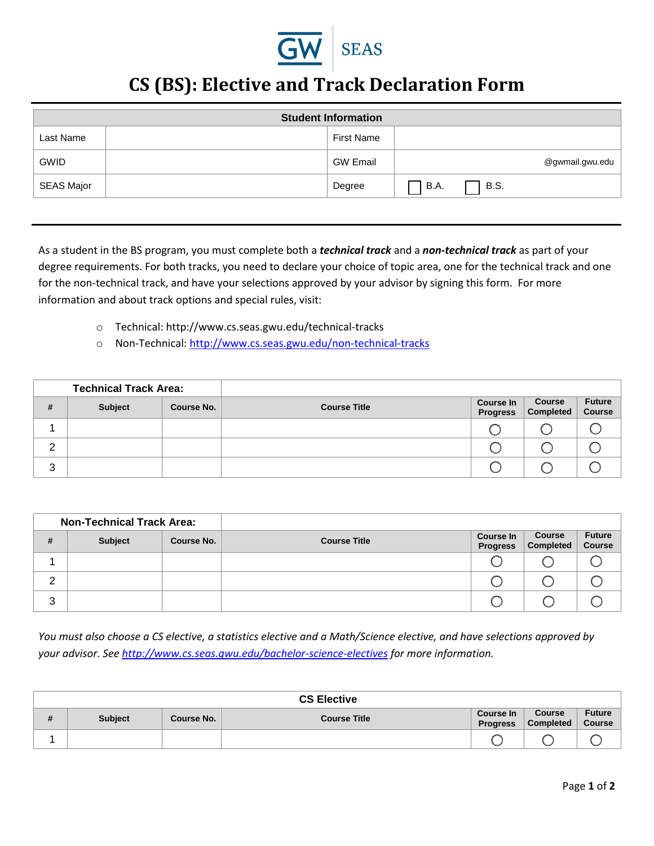

## **CS (BS): Elective and Track Declaration Form**

| <b>Student Information</b> |  |                   |                 |  |  |  |  |  |
|----------------------------|--|-------------------|-----------------|--|--|--|--|--|
| Last Name                  |  | <b>First Name</b> |                 |  |  |  |  |  |
| <b>GWID</b>                |  | <b>GW Email</b>   | @gwmail.gwu.edu |  |  |  |  |  |
| SEAS Major                 |  | Degree            | B.S.<br>B.A.    |  |  |  |  |  |
|                            |  |                   |                 |  |  |  |  |  |

As a student in the BS program, you must complete both a *technical track* and a *non-technical track* as part of your degree requirements. For both tracks, you need to declare your choice of topic area, one for the technical track and one for the non-technical track, and have your selections approved by your advisor by signing this form. For more information and about track options and special rules, visit:

- o Technical: http://www.cs.seas.gwu.edu/technical-tracks
- o Non-Technical[: http://www.cs.seas.gwu.edu/non-technical-tracks](http://www.cs.seas.gwu.edu/non-technical-tracks)

| <b>Technical Track Area:</b> |         |            |                     |                                     |                            |                                |
|------------------------------|---------|------------|---------------------|-------------------------------------|----------------------------|--------------------------------|
| #                            | Subject | Course No. | <b>Course Title</b> | <b>Course In</b><br><b>Progress</b> | <b>Course</b><br>Completed | <b>Future</b><br><b>Course</b> |
|                              |         |            |                     |                                     |                            |                                |
| 2                            |         |            |                     |                                     |                            |                                |
| 3                            |         |            |                     |                                     |                            |                                |

|        | <b>Non-Technical Track Area:</b> |            |                     |                              |                                   |                                |
|--------|----------------------------------|------------|---------------------|------------------------------|-----------------------------------|--------------------------------|
| #      | <b>Subject</b>                   | Course No. | <b>Course Title</b> | Course In<br><b>Progress</b> | <b>Course</b><br><b>Completed</b> | <b>Future</b><br><b>Course</b> |
|        |                                  |            |                     |                              |                                   |                                |
| っ<br>∠ |                                  |            |                     |                              |                                   |                                |
| 3      |                                  |            |                     |                              |                                   |                                |

*You must also choose a CS elective, a statistics elective and a Math/Science elective, and have selections approved by your advisor. See<http://www.cs.seas.gwu.edu/bachelor-science-electives>for more information.* 

| <b>CS Elective</b> |            |                     |                                     |                            |                                |  |  |  |
|--------------------|------------|---------------------|-------------------------------------|----------------------------|--------------------------------|--|--|--|
| <br><b>Subject</b> | Course No. | <b>Course Title</b> | <b>Course In</b><br><b>Progress</b> | <b>Course</b><br>Completed | <b>Future</b><br><b>Course</b> |  |  |  |
|                    |            |                     |                                     |                            |                                |  |  |  |